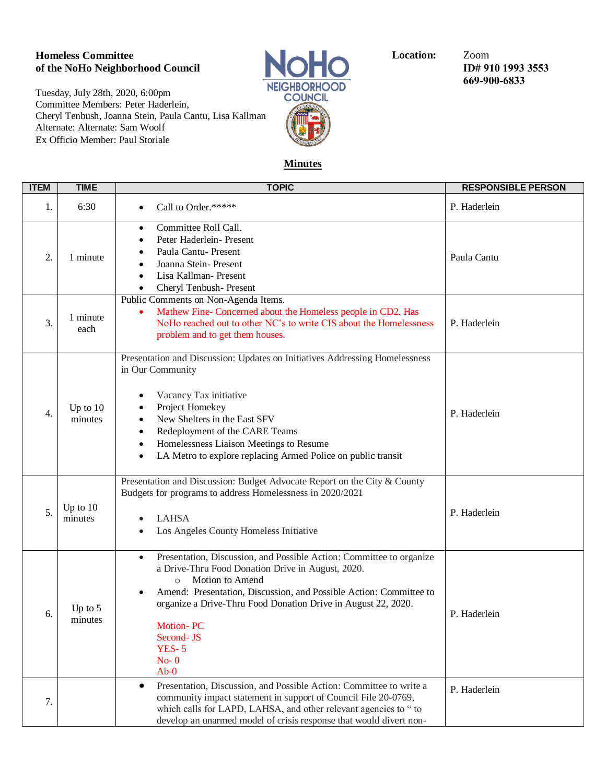## **Homeless Committee Committee Location:**  $\overline{LO}$  Location:  $\overline{LO}$  Zoom ID# 9 **of the NoHo Neighborhood Council ID# 910 1993 3553**

Tuesday, July 28th, 2020, 6:00pm Committee Members: Peter Haderlein, Cheryl Tenbush, Joanna Stein, Paula Cantu, Lisa Kallman Alternate: Alternate: Sam Woolf Ex Officio Member: Paul Storiale



**669-900-6833**

## **Minutes**

| <b>ITEM</b> | <b>TIME</b>           | <b>TOPIC</b>                                                                                                                                                                                                                                                                                                                                                        | <b>RESPONSIBLE PERSON</b> |
|-------------|-----------------------|---------------------------------------------------------------------------------------------------------------------------------------------------------------------------------------------------------------------------------------------------------------------------------------------------------------------------------------------------------------------|---------------------------|
| 1.          | 6:30                  | Call to Order.*****                                                                                                                                                                                                                                                                                                                                                 | P. Haderlein              |
| 2.          | 1 minute              | Committee Roll Call.<br>$\bullet$<br>Peter Haderlein- Present<br>Paula Cantu- Present<br>Joanna Stein-Present<br>Lisa Kallman- Present<br>Cheryl Tenbush- Present<br>$\bullet$                                                                                                                                                                                      | Paula Cantu               |
| 3.          | 1 minute<br>each      | Public Comments on Non-Agenda Items.<br>Mathew Fine- Concerned about the Homeless people in CD2. Has<br>٠<br>NoHo reached out to other NC's to write CIS about the Homelessness<br>problem and to get them houses.                                                                                                                                                  | P. Haderlein              |
| 4.          | Up to $10$<br>minutes | Presentation and Discussion: Updates on Initiatives Addressing Homelessness<br>in Our Community<br>Vacancy Tax initiative<br>Project Homekey<br>New Shelters in the East SFV<br>Redeployment of the CARE Teams<br>$\bullet$<br>Homelessness Liaison Meetings to Resume<br>$\bullet$<br>LA Metro to explore replacing Armed Police on public transit<br>٠            | P. Haderlein              |
| 5.          | Up to $10$<br>minutes | Presentation and Discussion: Budget Advocate Report on the City & County<br>Budgets for programs to address Homelessness in 2020/2021<br><b>LAHSA</b><br>Los Angeles County Homeless Initiative                                                                                                                                                                     | P. Haderlein              |
| 6.          | Up to 5<br>minutes    | Presentation, Discussion, and Possible Action: Committee to organize<br>a Drive-Thru Food Donation Drive in August, 2020.<br>Motion to Amend<br>$\circ$<br>Amend: Presentation, Discussion, and Possible Action: Committee to<br>organize a Drive-Thru Food Donation Drive in August 22, 2020.<br><b>Motion-PC</b><br>Second-JS<br><b>YES-5</b><br>$No-0$<br>$Ab-0$ | P. Haderlein              |
| 7.          |                       | Presentation, Discussion, and Possible Action: Committee to write a<br>$\bullet$<br>community impact statement in support of Council File 20-0769,<br>which calls for LAPD, LAHSA, and other relevant agencies to " to<br>develop an unarmed model of crisis response that would divert non-                                                                        | P. Haderlein              |